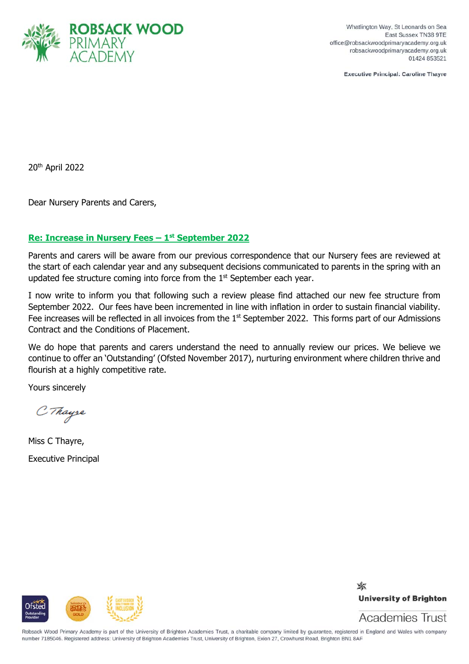

Whatlington Way, St Leonards on Sea East Sussex TN38 9TE office@robsackwoodprimaryacademy.org.uk robsackwoodprimaryacademy.org.uk 01424 853521

**Executive Principal: Caroline Thavre** 

20th April 2022

Dear Nursery Parents and Carers,

## **Re: Increase in Nursery Fees – 1st September 2022**

Parents and carers will be aware from our previous correspondence that our Nursery fees are reviewed at the start of each calendar year and any subsequent decisions communicated to parents in the spring with an updated fee structure coming into force from the 1<sup>st</sup> September each year.

I now write to inform you that following such a review please find attached our new fee structure from September 2022. Our fees have been incremented in line with inflation in order to sustain financial viability. Fee increases will be reflected in all invoices from the 1<sup>st</sup> September 2022. This forms part of our Admissions Contract and the Conditions of Placement.

We do hope that parents and carers understand the need to annually review our prices. We believe we continue to offer an 'Outstanding' (Ofsted November 2017), nurturing environment where children thrive and flourish at a highly competitive rate.

Yours sincerely

C Thayse

Miss C Thayre, Executive Principal



✖ **University of Brighton** 

Academies Trust

Robsack Wood Primary Academy is part of the University of Brighton Academies Trust, a charitable company limited by guarantee, registered in England and Wales with company number 7185046. Registered address: University of Brighton Academies Trust, University of Brighton, Exion 27, Crowhurst Road, Brighton BN1 8AF